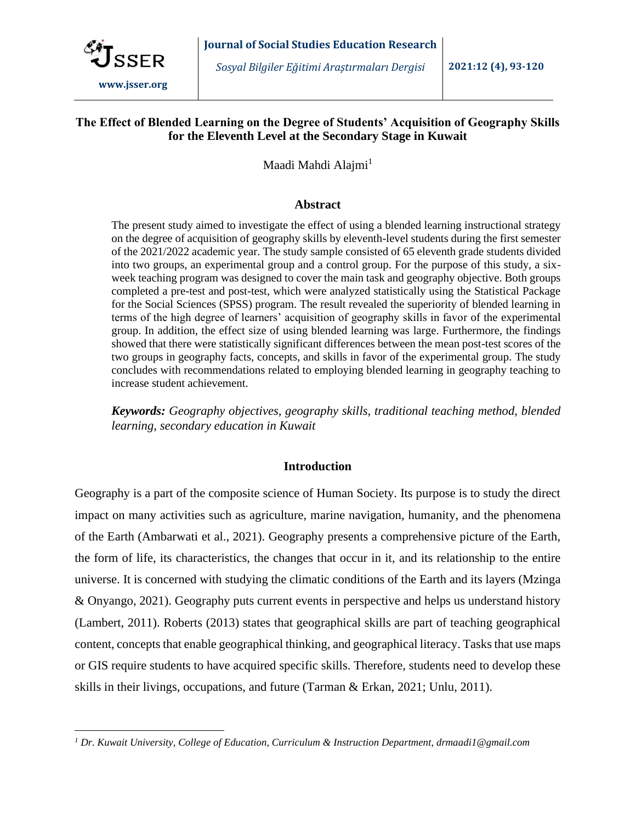

### **The Effect of Blended Learning on the Degree of Students' Acquisition of Geography Skills for the Eleventh Level at the Secondary Stage in Kuwait**

Maadi Mahdi Alajmi<sup>1</sup>

#### **Abstract**

The present study aimed to investigate the effect of using a blended learning instructional strategy on the degree of acquisition of geography skills by eleventh-level students during the first semester of the 2021/2022 academic year. The study sample consisted of 65 eleventh grade students divided into two groups, an experimental group and a control group. For the purpose of this study, a sixweek teaching program was designed to cover the main task and geography objective. Both groups completed a pre-test and post-test, which were analyzed statistically using the Statistical Package for the Social Sciences (SPSS) program. The result revealed the superiority of blended learning in terms of the high degree of learners' acquisition of geography skills in favor of the experimental group. In addition, the effect size of using blended learning was large. Furthermore, the findings showed that there were statistically significant differences between the mean post-test scores of the two groups in geography facts, concepts, and skills in favor of the experimental group. The study concludes with recommendations related to employing blended learning in geography teaching to increase student achievement.

*Keywords: Geography objectives, geography skills, traditional teaching method, blended learning, secondary education in Kuwait*

#### **Introduction**

Geography is a part of the composite science of Human Society. Its purpose is to study the direct impact on many activities such as agriculture, marine navigation, humanity, and the phenomena of the Earth (Ambarwati et al., 2021). Geography presents a comprehensive picture of the Earth, the form of life, its characteristics, the changes that occur in it, and its relationship to the entire universe. It is concerned with studying the climatic conditions of the Earth and its layers (Mzinga & Onyango, 2021). Geography puts current events in perspective and helps us understand history (Lambert, 2011). Roberts (2013) states that geographical skills are part of teaching geographical content, concepts that enable geographical thinking, and geographical literacy. Tasks that use maps or GIS require students to have acquired specific skills. Therefore, students need to develop these skills in their livings, occupations, and future (Tarman & Erkan, 2021; Unlu, 2011).

*<sup>1</sup> Dr. Kuwait University, College of Education, Curriculum & Instruction Department, drmaadi1@gmail.com*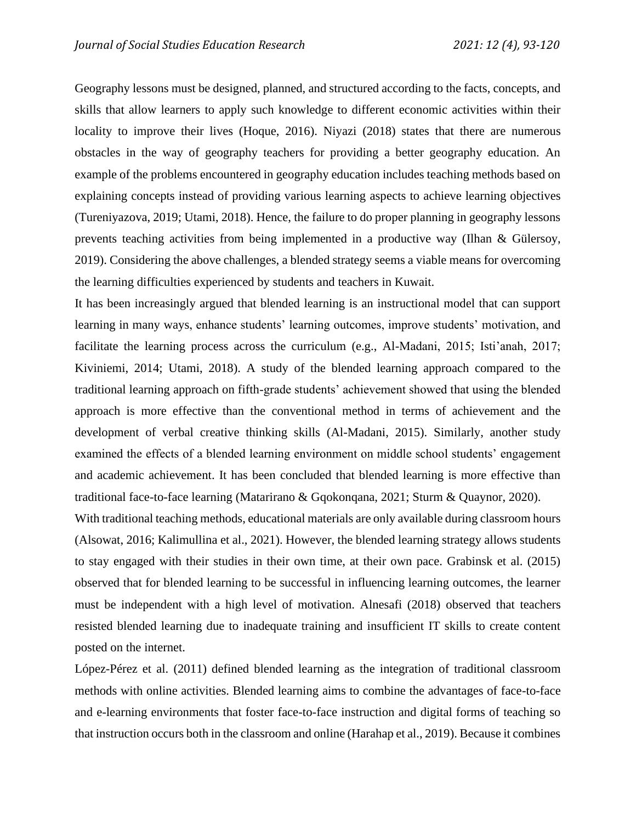Geography lessons must be designed, planned, and structured according to the facts, concepts, and skills that allow learners to apply such knowledge to different economic activities within their locality to improve their lives (Hoque, 2016). Niyazi (2018) states that there are numerous obstacles in the way of geography teachers for providing a better geography education. An example of the problems encountered in geography education includes teaching methods based on explaining concepts instead of providing various learning aspects to achieve learning objectives (Tureniyazova, 2019; Utami, 2018). Hence, the failure to do proper planning in geography lessons prevents teaching activities from being implemented in a productive way (Ilhan & Gülersoy, 2019). Considering the above challenges, a blended strategy seems a viable means for overcoming the learning difficulties experienced by students and teachers in Kuwait.

It has been increasingly argued that blended learning is an instructional model that can support learning in many ways, enhance students' learning outcomes, improve students' motivation, and facilitate the learning process across the curriculum (e.g., Al-Madani, 2015; Isti'anah, 2017; Kiviniemi, 2014; Utami, 2018). A study of the blended learning approach compared to the traditional learning approach on fifth-grade students' achievement showed that using the blended approach is more effective than the conventional method in terms of achievement and the development of verbal creative thinking skills (Al-Madani, 2015). Similarly, another study examined the effects of a blended learning environment on middle school students' engagement and academic achievement. It has been concluded that blended learning is more effective than traditional face-to-face learning (Matarirano & Gqokonqana, 2021; Sturm & Quaynor, 2020).

With traditional teaching methods, educational materials are only available during classroom hours (Alsowat, 2016; Kalimullina et al., 2021). However, the blended learning strategy allows students to stay engaged with their studies in their own time, at their own pace. Grabinsk et al. (2015) observed that for blended learning to be successful in influencing learning outcomes, the learner must be independent with a high level of motivation. Alnesafi (2018) observed that teachers resisted blended learning due to inadequate training and insufficient IT skills to create content posted on the internet.

López-Pérez et al. (2011) defined blended learning as the integration of traditional classroom methods with online activities. Blended learning aims to combine the advantages of face-to-face and e-learning environments that foster face-to-face instruction and digital forms of teaching so that instruction occurs both in the classroom and online (Harahap et al., 2019). Because it combines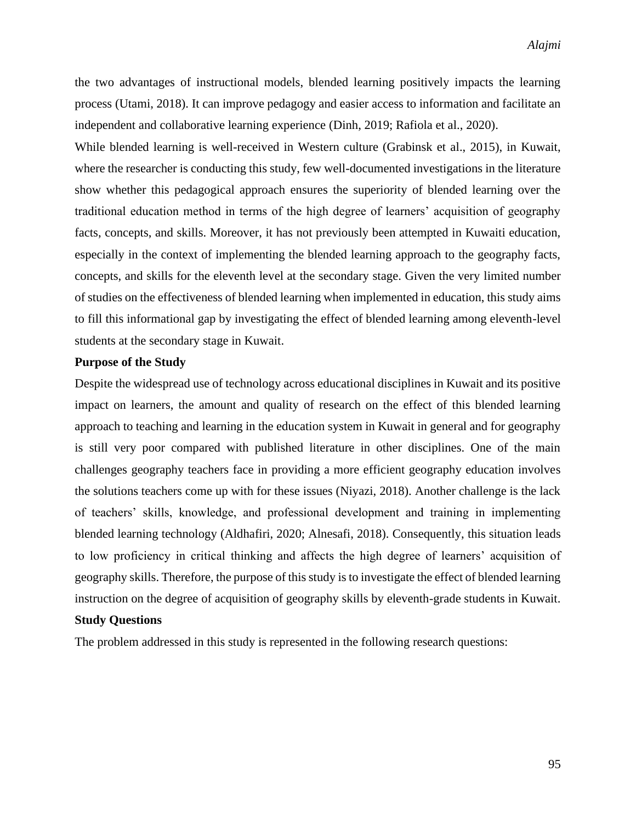the two advantages of instructional models, blended learning positively impacts the learning process (Utami, 2018). It can improve pedagogy and easier access to information and facilitate an independent and collaborative learning experience (Dinh, 2019; Rafiola et al., 2020).

While blended learning is well-received in Western culture (Grabinsk et al., 2015), in Kuwait, where the researcher is conducting this study, few well-documented investigations in the literature show whether this pedagogical approach ensures the superiority of blended learning over the traditional education method in terms of the high degree of learners' acquisition of geography facts, concepts, and skills. Moreover, it has not previously been attempted in Kuwaiti education, especially in the context of implementing the blended learning approach to the geography facts, concepts, and skills for the eleventh level at the secondary stage. Given the very limited number of studies on the effectiveness of blended learning when implemented in education, this study aims to fill this informational gap by investigating the effect of blended learning among eleventh-level students at the secondary stage in Kuwait.

### **Purpose of the Study**

Despite the widespread use of technology across educational disciplines in Kuwait and its positive impact on learners, the amount and quality of research on the effect of this blended learning approach to teaching and learning in the education system in Kuwait in general and for geography is still very poor compared with published literature in other disciplines. One of the main challenges geography teachers face in providing a more efficient geography education involves the solutions teachers come up with for these issues (Niyazi, 2018). Another challenge is the lack of teachers' skills, knowledge, and professional development and training in implementing blended learning technology (Aldhafiri, 2020; Alnesafi, 2018). Consequently, this situation leads to low proficiency in critical thinking and affects the high degree of learners' acquisition of geography skills. Therefore, the purpose of this study is to investigate the effect of blended learning instruction on the degree of acquisition of geography skills by eleventh-grade students in Kuwait.

## **Study Questions**

The problem addressed in this study is represented in the following research questions: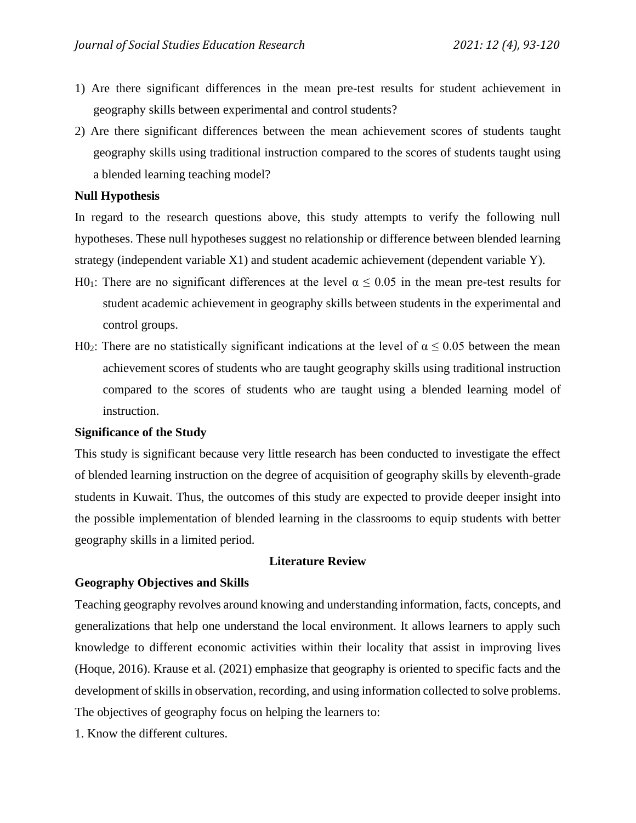- 1) Are there significant differences in the mean pre-test results for student achievement in geography skills between experimental and control students?
- 2) Are there significant differences between the mean achievement scores of students taught geography skills using traditional instruction compared to the scores of students taught using a blended learning teaching model?

#### **Null Hypothesis**

In regard to the research questions above, this study attempts to verify the following null hypotheses. These null hypotheses suggest no relationship or difference between blended learning strategy (independent variable X1) and student academic achievement (dependent variable Y).

- H0<sub>1</sub>: There are no significant differences at the level  $\alpha \le 0.05$  in the mean pre-test results for student academic achievement in geography skills between students in the experimental and control groups.
- H0<sub>2</sub>: There are no statistically significant indications at the level of  $\alpha \le 0.05$  between the mean achievement scores of students who are taught geography skills using traditional instruction compared to the scores of students who are taught using a blended learning model of instruction.

#### **Significance of the Study**

This study is significant because very little research has been conducted to investigate the effect of blended learning instruction on the degree of acquisition of geography skills by eleventh-grade students in Kuwait. Thus, the outcomes of this study are expected to provide deeper insight into the possible implementation of blended learning in the classrooms to equip students with better geography skills in a limited period.

#### **Literature Review**

#### **Geography Objectives and Skills**

Teaching geography revolves around knowing and understanding information, facts, concepts, and generalizations that help one understand the local environment. It allows learners to apply such knowledge to different economic activities within their locality that assist in improving lives (Hoque, 2016). Krause et al. (2021) emphasize that geography is oriented to specific facts and the development of skills in observation, recording, and using information collected to solve problems. The objectives of geography focus on helping the learners to:

1. Know the different cultures.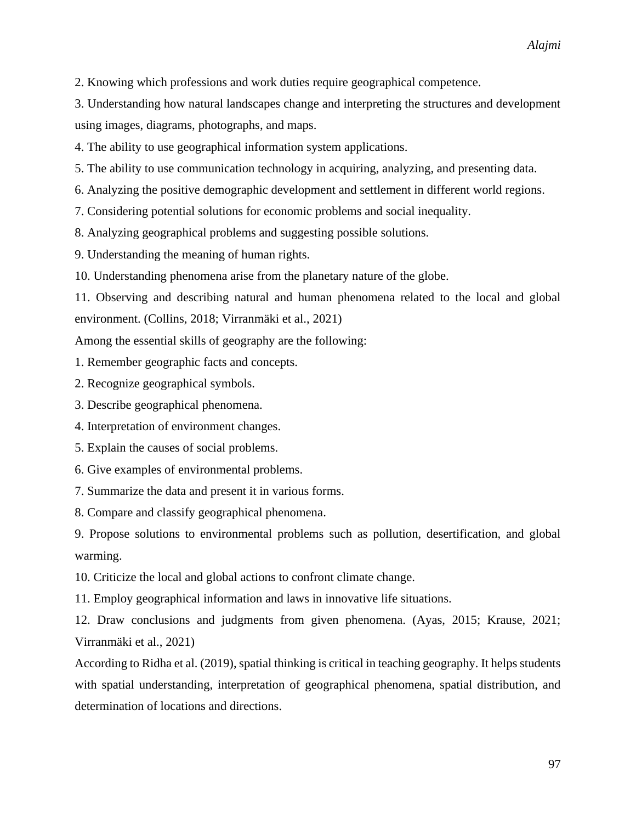2. Knowing which professions and work duties require geographical competence.

3. Understanding how natural landscapes change and interpreting the structures and development using images, diagrams, photographs, and maps.

4. The ability to use geographical information system applications.

5. The ability to use communication technology in acquiring, analyzing, and presenting data.

6. Analyzing the positive demographic development and settlement in different world regions.

7. Considering potential solutions for economic problems and social inequality.

8. Analyzing geographical problems and suggesting possible solutions.

9. Understanding the meaning of human rights.

10. Understanding phenomena arise from the planetary nature of the globe.

11. Observing and describing natural and human phenomena related to the local and global environment. (Collins, 2018; Virranmäki et al., 2021)

Among the essential skills of geography are the following:

1. Remember geographic facts and concepts.

2. Recognize geographical symbols.

3. Describe geographical phenomena.

4. Interpretation of environment changes.

5. Explain the causes of social problems.

6. Give examples of environmental problems.

7. Summarize the data and present it in various forms.

8. Compare and classify geographical phenomena.

9. Propose solutions to environmental problems such as pollution, desertification, and global warming.

10. Criticize the local and global actions to confront climate change.

11. Employ geographical information and laws in innovative life situations.

12. Draw conclusions and judgments from given phenomena. (Ayas, 2015; Krause, 2021; Virranmäki et al., 2021)

According to Ridha et al. (2019), spatial thinking is critical in teaching geography. It helps students with spatial understanding, interpretation of geographical phenomena, spatial distribution, and determination of locations and directions.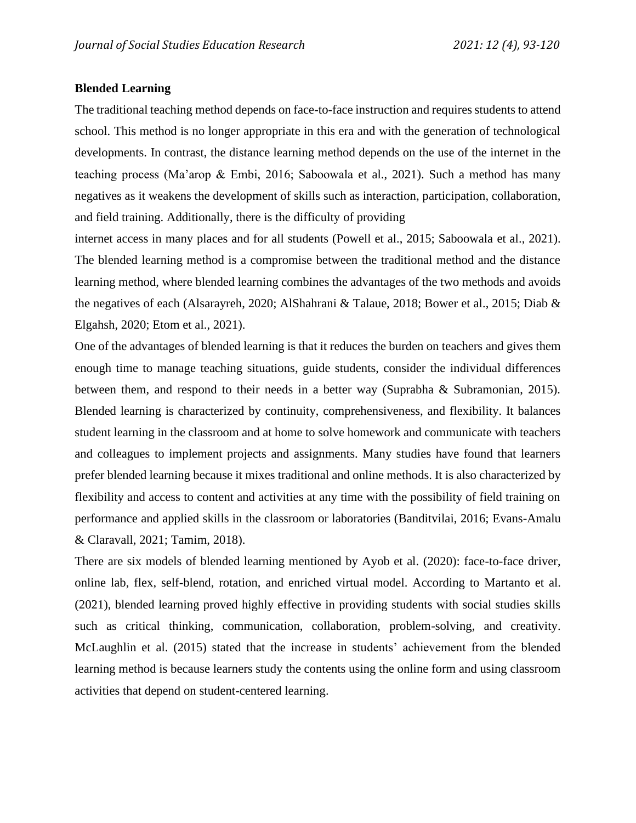### **Blended Learning**

The traditional teaching method depends on face-to-face instruction and requires students to attend school. This method is no longer appropriate in this era and with the generation of technological developments. In contrast, the distance learning method depends on the use of the internet in the teaching process (Ma'arop & Embi, 2016; Saboowala et al., 2021). Such a method has many negatives as it weakens the development of skills such as interaction, participation, collaboration, and field training. Additionally, there is the difficulty of providing

internet access in many places and for all students (Powell et al., 2015; Saboowala et al., 2021). The blended learning method is a compromise between the traditional method and the distance learning method, where blended learning combines the advantages of the two methods and avoids the negatives of each (Alsarayreh, 2020; AlShahrani & Talaue, 2018; Bower et al., 2015; Diab & Elgahsh, 2020; Etom et al., 2021).

One of the advantages of blended learning is that it reduces the burden on teachers and gives them enough time to manage teaching situations, guide students, consider the individual differences between them, and respond to their needs in a better way (Suprabha & Subramonian, 2015). Blended learning is characterized by continuity, comprehensiveness, and flexibility. It balances student learning in the classroom and at home to solve homework and communicate with teachers and colleagues to implement projects and assignments. Many studies have found that learners prefer blended learning because it mixes traditional and online methods. It is also characterized by flexibility and access to content and activities at any time with the possibility of field training on performance and applied skills in the classroom or laboratories (Banditvilai, 2016; Evans-Amalu & Claravall, 2021; Tamim, 2018).

There are six models of blended learning mentioned by Ayob et al. (2020): face-to-face driver, online lab, flex, self-blend, rotation, and enriched virtual model. According to Martanto et al. (2021), blended learning proved highly effective in providing students with social studies skills such as critical thinking, communication, collaboration, problem-solving, and creativity. McLaughlin et al. (2015) stated that the increase in students' achievement from the blended learning method is because learners study the contents using the online form and using classroom activities that depend on student-centered learning.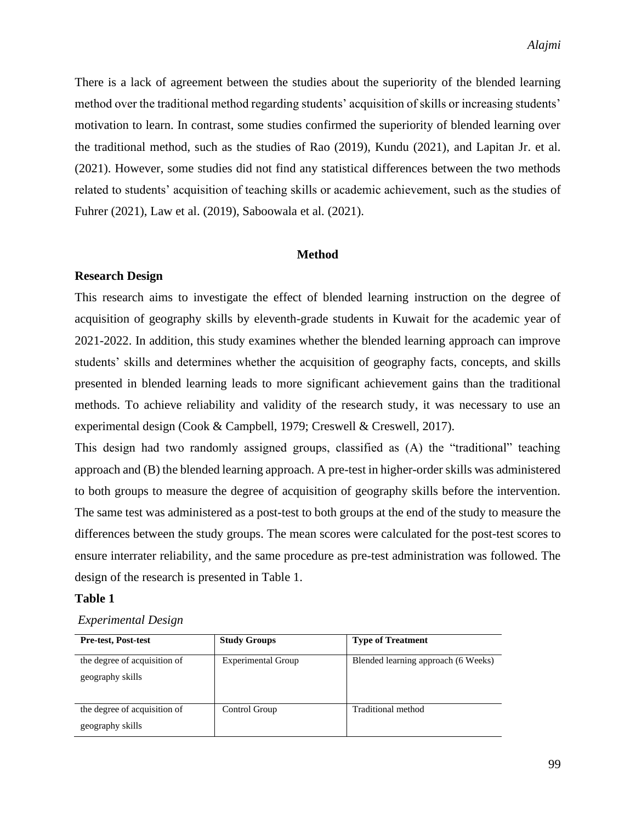There is a lack of agreement between the studies about the superiority of the blended learning method over the traditional method regarding students' acquisition of skills or increasing students' motivation to learn. In contrast, some studies confirmed the superiority of blended learning over the traditional method, such as the studies of Rao (2019), Kundu (2021), and Lapitan Jr. et al. (2021). However, some studies did not find any statistical differences between the two methods related to students' acquisition of teaching skills or academic achievement, such as the studies of Fuhrer (2021), Law et al. (2019), Saboowala et al. (2021).

#### **Method**

#### **Research Design**

This research aims to investigate the effect of blended learning instruction on the degree of acquisition of geography skills by eleventh-grade students in Kuwait for the academic year of 2021-2022. In addition, this study examines whether the blended learning approach can improve students' skills and determines whether the acquisition of geography facts, concepts, and skills presented in blended learning leads to more significant achievement gains than the traditional methods. To achieve reliability and validity of the research study, it was necessary to use an experimental design (Cook & Campbell, 1979; Creswell & Creswell, 2017).

This design had two randomly assigned groups, classified as (A) the "traditional" teaching approach and (B) the blended learning approach. A pre-test in higher-order skills was administered to both groups to measure the degree of acquisition of geography skills before the intervention. The same test was administered as a post-test to both groups at the end of the study to measure the differences between the study groups. The mean scores were calculated for the post-test scores to ensure interrater reliability, and the same procedure as pre-test administration was followed. The design of the research is presented in Table 1.

#### **Table 1**

#### *Experimental Design*

| <b>Pre-test, Post-test</b>                       | <b>Study Groups</b>       | <b>Type of Treatment</b>            |
|--------------------------------------------------|---------------------------|-------------------------------------|
| the degree of acquisition of<br>geography skills | <b>Experimental Group</b> | Blended learning approach (6 Weeks) |
| the degree of acquisition of<br>geography skills | Control Group             | Traditional method                  |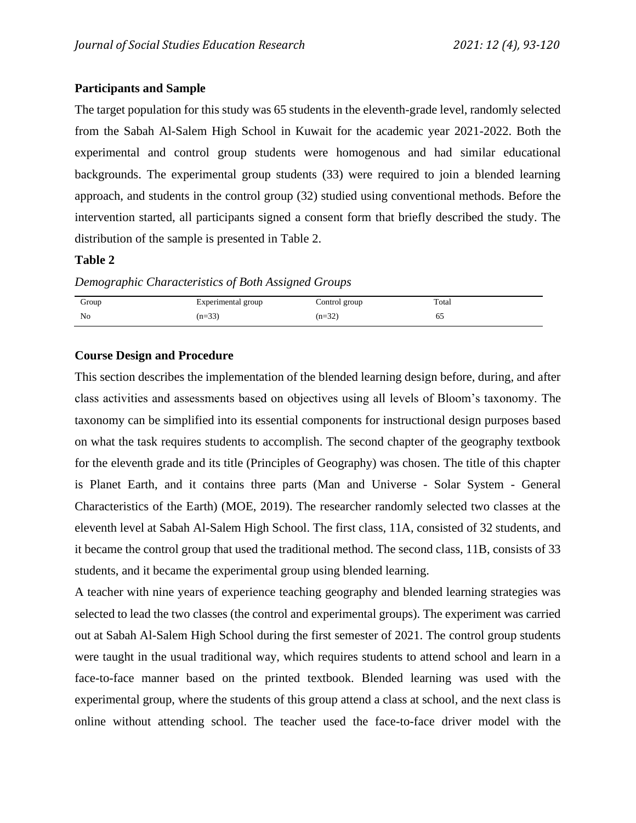### **Participants and Sample**

The target population for this study was 65 students in the eleventh-grade level, randomly selected from the Sabah Al-Salem High School in Kuwait for the academic year 2021-2022. Both the experimental and control group students were homogenous and had similar educational backgrounds. The experimental group students (33) were required to join a blended learning approach, and students in the control group (32) studied using conventional methods. Before the intervention started, all participants signed a consent form that briefly described the study. The distribution of the sample is presented in Table 2.

#### **Table 2**

*Demographic Characteristics of Both Assigned Groups*

| Group | Experimental group | Control group | Total |
|-------|--------------------|---------------|-------|
| No    | $(n=33)$           | $(n=32)$      | 65    |

### **Course Design and Procedure**

This section describes the implementation of the blended learning design before, during, and after class activities and assessments based on objectives using all levels of Bloom's taxonomy. The taxonomy can be simplified into its essential components for instructional design purposes based on what the task requires students to accomplish. The second chapter of the geography textbook for the eleventh grade and its title (Principles of Geography) was chosen. The title of this chapter is Planet Earth, and it contains three parts (Man and Universe - Solar System - General Characteristics of the Earth) (MOE, 2019). The researcher randomly selected two classes at the eleventh level at Sabah Al-Salem High School. The first class, 11A, consisted of 32 students, and it became the control group that used the traditional method. The second class, 11B, consists of 33 students, and it became the experimental group using blended learning.

A teacher with nine years of experience teaching geography and blended learning strategies was selected to lead the two classes (the control and experimental groups). The experiment was carried out at Sabah Al-Salem High School during the first semester of 2021. The control group students were taught in the usual traditional way, which requires students to attend school and learn in a face-to-face manner based on the printed textbook. Blended learning was used with the experimental group, where the students of this group attend a class at school, and the next class is online without attending school. The teacher used the face-to-face driver model with the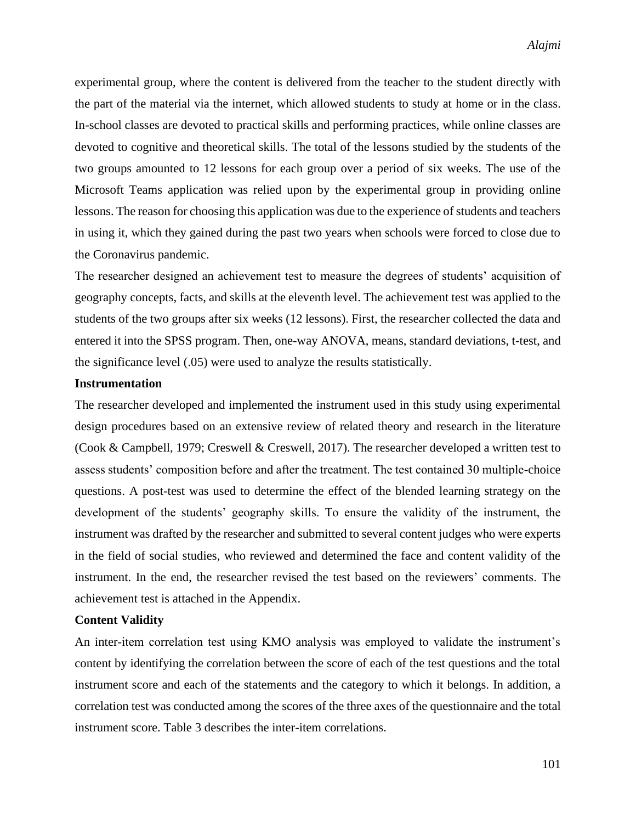experimental group, where the content is delivered from the teacher to the student directly with the part of the material via the internet, which allowed students to study at home or in the class. In-school classes are devoted to practical skills and performing practices, while online classes are devoted to cognitive and theoretical skills. The total of the lessons studied by the students of the two groups amounted to 12 lessons for each group over a period of six weeks. The use of the Microsoft Teams application was relied upon by the experimental group in providing online lessons. The reason for choosing this application was due to the experience of students and teachers in using it, which they gained during the past two years when schools were forced to close due to the Coronavirus pandemic.

The researcher designed an achievement test to measure the degrees of students' acquisition of geography concepts, facts, and skills at the eleventh level. The achievement test was applied to the students of the two groups after six weeks (12 lessons). First, the researcher collected the data and entered it into the SPSS program. Then, one-way ANOVA, means, standard deviations, t-test, and the significance level (.05) were used to analyze the results statistically.

### **Instrumentation**

The researcher developed and implemented the instrument used in this study using experimental design procedures based on an extensive review of related theory and research in the literature (Cook & Campbell, 1979; Creswell & Creswell, 2017). The researcher developed a written test to assess students' composition before and after the treatment. The test contained 30 multiple-choice questions. A post-test was used to determine the effect of the blended learning strategy on the development of the students' geography skills. To ensure the validity of the instrument, the instrument was drafted by the researcher and submitted to several content judges who were experts in the field of social studies, who reviewed and determined the face and content validity of the instrument. In the end, the researcher revised the test based on the reviewers' comments. The achievement test is attached in the Appendix.

### **Content Validity**

An inter-item correlation test using KMO analysis was employed to validate the instrument's content by identifying the correlation between the score of each of the test questions and the total instrument score and each of the statements and the category to which it belongs. In addition, a correlation test was conducted among the scores of the three axes of the questionnaire and the total instrument score. Table 3 describes the inter-item correlations.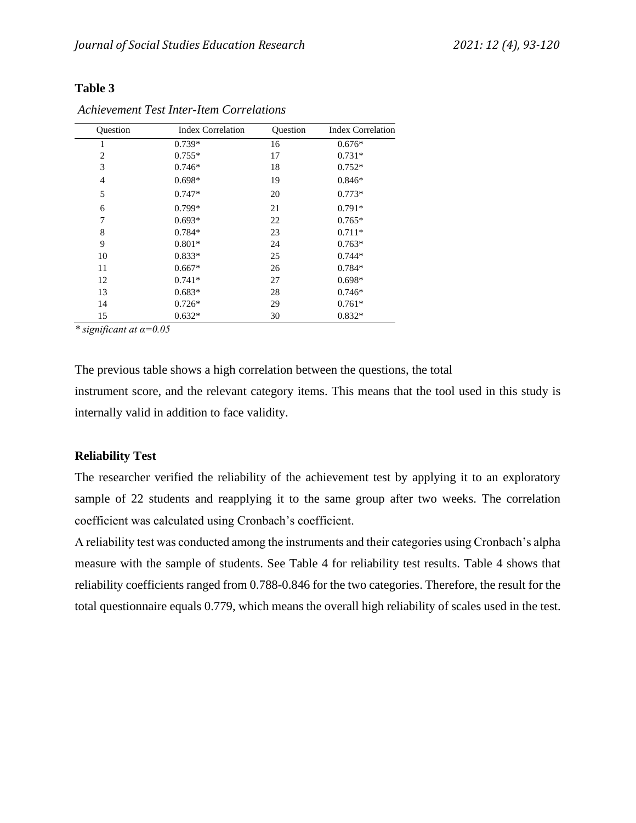| Ouestion       | <b>Index Correlation</b> | <b>Ouestion</b> | <b>Index Correlation</b> |
|----------------|--------------------------|-----------------|--------------------------|
| 1              | 0.739*                   | 16              | $0.676*$                 |
| 2              | $0.755*$                 | 17              | $0.731*$                 |
| 3              | $0.746*$                 | 18              | $0.752*$                 |
| $\overline{4}$ | $0.698*$                 | 19              | $0.846*$                 |
| 5              | $0.747*$                 | 20              | $0.773*$                 |
| 6              | $0.799*$                 | 21              | $0.791*$                 |
| 7              | $0.693*$                 | 22              | $0.765*$                 |
| 8              | $0.784*$                 | 23              | $0.711*$                 |
| 9              | $0.801*$                 | 24              | $0.763*$                 |
| 10             | $0.833*$                 | 25              | $0.744*$                 |
| 11             | $0.667*$                 | 26              | $0.784*$                 |
| 12             | $0.741*$                 | 27              | $0.698*$                 |
| 13             | $0.683*$                 | 28              | $0.746*$                 |
| 14             | $0.726*$                 | 29              | $0.761*$                 |
| 15             | $0.632*$                 | 30              | $0.832*$                 |
|                |                          |                 |                          |

*Achievement Test Inter-Item Correlations*

*\* significant at α=0.05* 

The previous table shows a high correlation between the questions, the total instrument score, and the relevant category items. This means that the tool used in this study is internally valid in addition to face validity.

#### **Reliability Test**

The researcher verified the reliability of the achievement test by applying it to an exploratory sample of 22 students and reapplying it to the same group after two weeks. The correlation coefficient was calculated using Cronbach's coefficient.

A reliability test was conducted among the instruments and their categories using Cronbach's alpha measure with the sample of students. See Table 4 for reliability test results. Table 4 shows that reliability coefficients ranged from 0.788-0.846 for the two categories. Therefore, the result for the total questionnaire equals 0.779, which means the overall high reliability of scales used in the test.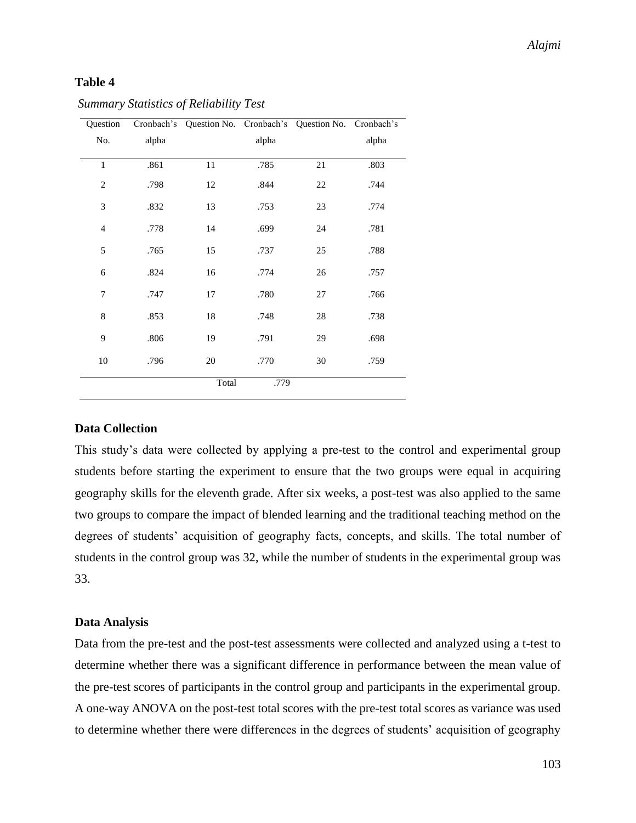| Question       |       | Cronbach's Question No. Cronbach's |       | Question No. Cronbach's |       |
|----------------|-------|------------------------------------|-------|-------------------------|-------|
| No.            | alpha |                                    | alpha |                         | alpha |
|                |       |                                    |       |                         |       |
| $\mathbf{1}$   | .861  | 11                                 | .785  | $21\,$                  | .803  |
| $\overline{2}$ | .798  | 12                                 | .844  | 22                      | .744  |
| 3              | .832  | 13                                 | .753  | 23                      | .774  |
| $\overline{4}$ | .778  | 14                                 | .699  | 24                      | .781  |
| 5              | .765  | 15                                 | .737  | 25                      | .788  |
| 6              | .824  | 16                                 | .774  | 26                      | .757  |
| 7              | .747  | 17                                 | .780  | 27                      | .766  |
| $\,$ 8 $\,$    | .853  | 18                                 | .748  | 28                      | .738  |
| 9              | .806  | 19                                 | .791  | 29                      | .698  |
| 10             | .796  | 20                                 | .770  | 30                      | .759  |
|                |       | Total                              | .779  |                         |       |

#### *Summary Statistics of Reliability Test*

### **Data Collection**

This study's data were collected by applying a pre-test to the control and experimental group students before starting the experiment to ensure that the two groups were equal in acquiring geography skills for the eleventh grade. After six weeks, a post-test was also applied to the same two groups to compare the impact of blended learning and the traditional teaching method on the degrees of students' acquisition of geography facts, concepts, and skills. The total number of students in the control group was 32, while the number of students in the experimental group was 33.

#### **Data Analysis**

Data from the pre-test and the post-test assessments were collected and analyzed using a t-test to determine whether there was a significant difference in performance between the mean value of the pre-test scores of participants in the control group and participants in the experimental group. A one-way ANOVA on the post-test total scores with the pre-test total scores as variance was used to determine whether there were differences in the degrees of students' acquisition of geography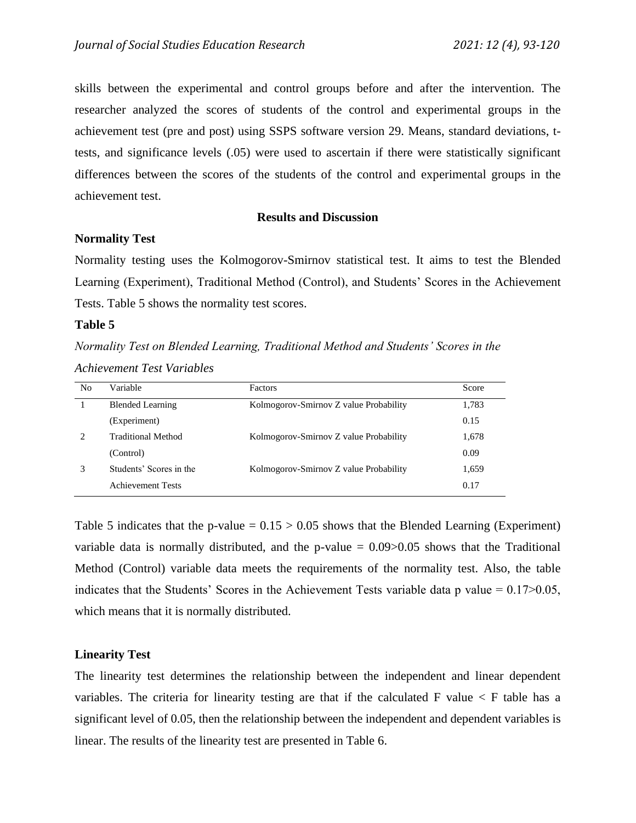skills between the experimental and control groups before and after the intervention. The researcher analyzed the scores of students of the control and experimental groups in the achievement test (pre and post) using SSPS software version 29. Means, standard deviations, ttests, and significance levels (.05) were used to ascertain if there were statistically significant differences between the scores of the students of the control and experimental groups in the achievement test.

#### **Results and Discussion**

#### **Normality Test**

Normality testing uses the Kolmogorov-Smirnov statistical test. It aims to test the Blended Learning (Experiment), Traditional Method (Control), and Students' Scores in the Achievement Tests. Table 5 shows the normality test scores.

#### **Table 5**

*Normality Test on Blended Learning, Traditional Method and Students' Scores in the Achievement Test Variables*

| No | Variable                  | <b>Factors</b>                         | Score |
|----|---------------------------|----------------------------------------|-------|
|    | <b>Blended Learning</b>   | Kolmogorov-Smirnov Z value Probability | 1,783 |
|    | (Experiment)              |                                        | 0.15  |
|    | <b>Traditional Method</b> | Kolmogorov-Smirnov Z value Probability | 1,678 |
|    | (Control)                 |                                        | 0.09  |
|    | Students' Scores in the   | Kolmogorov-Smirnov Z value Probability | 1,659 |
|    | <b>Achievement Tests</b>  |                                        | 0.17  |

Table 5 indicates that the p-value  $= 0.15 > 0.05$  shows that the Blended Learning (Experiment) variable data is normally distributed, and the p-value  $= 0.09$  > 0.05 shows that the Traditional Method (Control) variable data meets the requirements of the normality test. Also, the table indicates that the Students' Scores in the Achievement Tests variable data p value =  $0.17$   $>$  0.05, which means that it is normally distributed.

### **Linearity Test**

The linearity test determines the relationship between the independent and linear dependent variables. The criteria for linearity testing are that if the calculated F value  $\lt F$  table has a significant level of 0.05, then the relationship between the independent and dependent variables is linear. The results of the linearity test are presented in Table 6.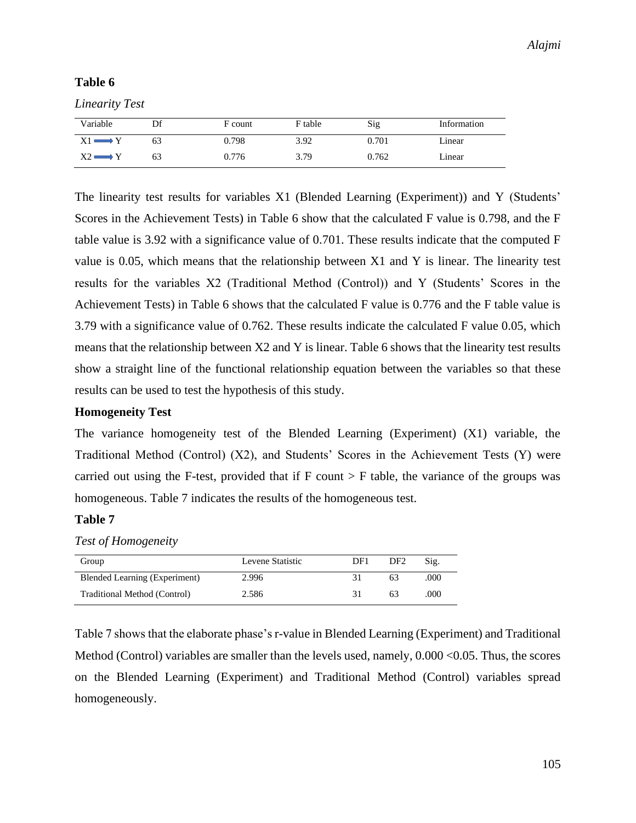*Linearity Test*

| Variable    | Df | F count | F table | Sig   | Information |
|-------------|----|---------|---------|-------|-------------|
| X1 =<br>. v | 63 | 0.798   | 3.92    | 0.701 | Linear      |
|             | 63 | 0.776   | 3.79    | 0.762 | Linear      |

The linearity test results for variables X1 (Blended Learning (Experiment)) and Y (Students' Scores in the Achievement Tests) in Table 6 show that the calculated F value is 0.798, and the F table value is 3.92 with a significance value of 0.701. These results indicate that the computed F value is 0.05, which means that the relationship between X1 and Y is linear. The linearity test results for the variables X2 (Traditional Method (Control)) and Y (Students' Scores in the Achievement Tests) in Table 6 shows that the calculated F value is 0.776 and the F table value is 3.79 with a significance value of 0.762. These results indicate the calculated F value 0.05, which means that the relationship between X2 and Y is linear. Table 6 shows that the linearity test results show a straight line of the functional relationship equation between the variables so that these results can be used to test the hypothesis of this study.

#### **Homogeneity Test**

The variance homogeneity test of the Blended Learning (Experiment) (X1) variable, the Traditional Method (Control) (X2), and Students' Scores in the Achievement Tests (Y) were carried out using the F-test, provided that if  $F$  count  $>F$  table, the variance of the groups was homogeneous. Table 7 indicates the results of the homogeneous test.

### **Table 7**

#### *Test of Homogeneity*

| Group                         | Levene Statistic | DF1 | DF2 | Sig. |
|-------------------------------|------------------|-----|-----|------|
| Blended Learning (Experiment) | 2.996            |     | 63  | .000 |
| Traditional Method (Control)  | 2.586            | 31  | 63  | .000 |

Table 7 shows that the elaborate phase's r-value in Blended Learning (Experiment) and Traditional Method (Control) variables are smaller than the levels used, namely,  $0.000 \le 0.05$ . Thus, the scores on the Blended Learning (Experiment) and Traditional Method (Control) variables spread homogeneously.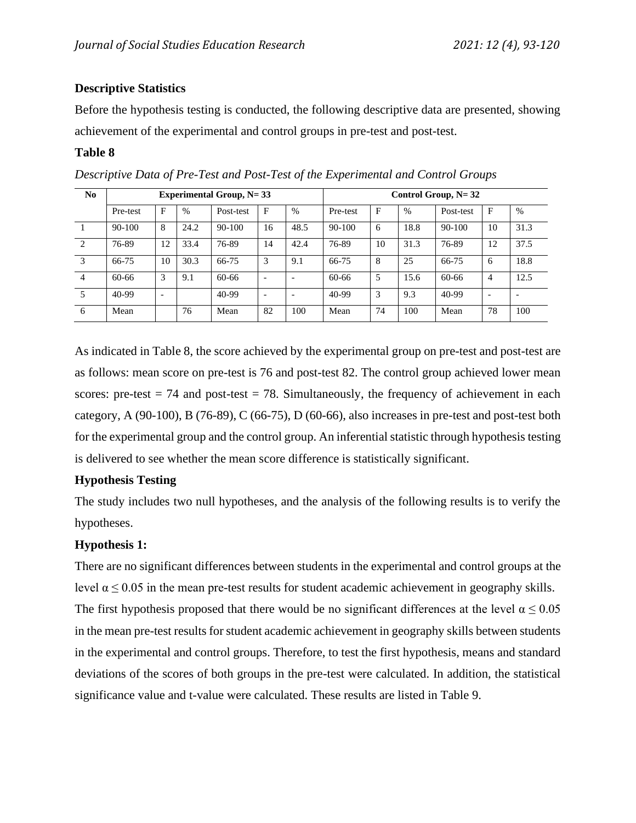## **Descriptive Statistics**

Before the hypothesis testing is conducted, the following descriptive data are presented, showing achievement of the experimental and control groups in pre-test and post-test.

## **Table 8**

| N <sub>0</sub>              | Experimental Group, $N = 33$ |    |      |            |                          |                          | Control Group, $N = 32$ |    |      |           |                          |               |
|-----------------------------|------------------------------|----|------|------------|--------------------------|--------------------------|-------------------------|----|------|-----------|--------------------------|---------------|
|                             | Pre-test                     | F  | $\%$ | Post-test  | $\mathbf{F}$             | $\frac{0}{0}$            | Pre-test                | F  | $\%$ | Post-test | F                        | $\frac{0}{0}$ |
|                             | 90-100                       | 8  | 24.2 | $90 - 100$ | 16                       | 48.5                     | $90 - 100$              | 6  | 18.8 | 90-100    | 10                       | 31.3          |
| $\mathcal{D}_{\mathcal{L}}$ | 76-89                        | 12 | 33.4 | 76-89      | 14                       | 42.4                     | 76-89                   | 10 | 31.3 | 76-89     | 12                       | 37.5          |
| 3                           | 66-75                        | 10 | 30.3 | 66-75      | 3                        | 9.1                      | 66-75                   | 8  | 25   | 66-75     | 6                        | 18.8          |
| $\overline{4}$              | 60-66                        | 3  | 9.1  | 60-66      |                          | $\overline{\phantom{0}}$ | 60-66                   | 5  | 15.6 | 60-66     | $\overline{4}$           | 12.5          |
| 5                           | 40-99                        |    |      | 40-99      | $\overline{\phantom{0}}$ | $\overline{\phantom{a}}$ | 40-99                   | 3  | 9.3  | 40-99     | $\overline{\phantom{a}}$ |               |
| 6                           | Mean                         |    | 76   | Mean       | 82                       | 100                      | Mean                    | 74 | 100  | Mean      | 78                       | 100           |

*Descriptive Data of Pre-Test and Post-Test of the Experimental and Control Groups*

As indicated in Table 8, the score achieved by the experimental group on pre-test and post-test are as follows: mean score on pre-test is 76 and post-test 82. The control group achieved lower mean scores: pre-test  $= 74$  and post-test  $= 78$ . Simultaneously, the frequency of achievement in each category, A (90-100), B (76-89), C (66-75), D (60-66), also increases in pre-test and post-test both for the experimental group and the control group. An inferential statistic through hypothesis testing is delivered to see whether the mean score difference is statistically significant.

## **Hypothesis Testing**

The study includes two null hypotheses, and the analysis of the following results is to verify the hypotheses.

## **Hypothesis 1:**

There are no significant differences between students in the experimental and control groups at the level  $\alpha \leq 0.05$  in the mean pre-test results for student academic achievement in geography skills. The first hypothesis proposed that there would be no significant differences at the level  $\alpha \le 0.05$ in the mean pre-test results for student academic achievement in geography skills between students in the experimental and control groups. Therefore, to test the first hypothesis, means and standard deviations of the scores of both groups in the pre-test were calculated. In addition, the statistical significance value and t-value were calculated. These results are listed in Table 9.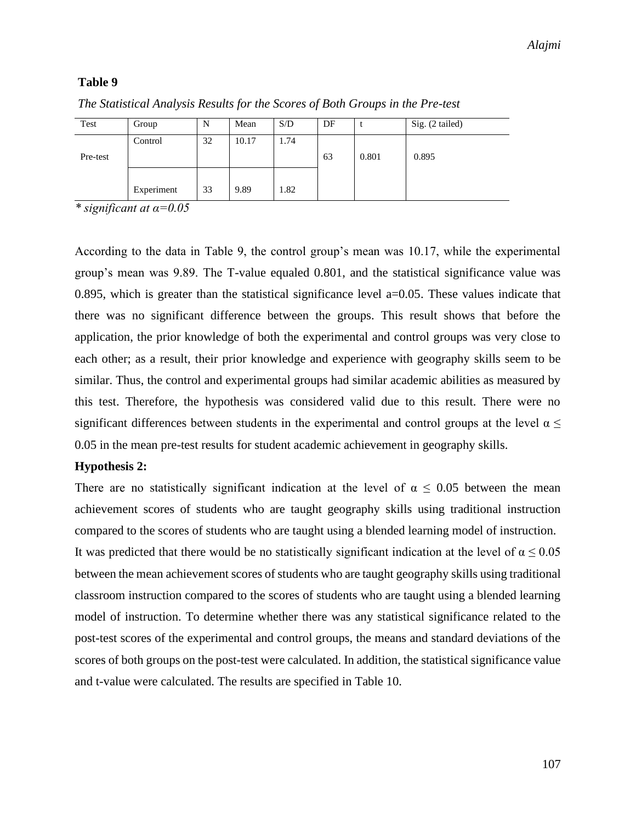| Test     | Group      | N  | Mean  | S/D  | DF |       | Sig. (2 tailed) |
|----------|------------|----|-------|------|----|-------|-----------------|
| Pre-test | Control    | 32 | 10.17 | 1.74 | 63 | 0.801 | 0.895           |
|          | Experiment | 33 | 9.89  | 1.82 |    |       |                 |

*The Statistical Analysis Results for the Scores of Both Groups in the Pre-test*

*\* significant at α=0.05*

According to the data in Table 9, the control group's mean was 10.17, while the experimental group's mean was 9.89. The T-value equaled 0.801, and the statistical significance value was 0.895, which is greater than the statistical significance level a=0.05. These values indicate that there was no significant difference between the groups. This result shows that before the application, the prior knowledge of both the experimental and control groups was very close to each other; as a result, their prior knowledge and experience with geography skills seem to be similar. Thus, the control and experimental groups had similar academic abilities as measured by this test. Therefore, the hypothesis was considered valid due to this result. There were no significant differences between students in the experimental and control groups at the level  $\alpha \leq$ 0.05 in the mean pre-test results for student academic achievement in geography skills.

### **Hypothesis 2:**

There are no statistically significant indication at the level of  $\alpha \leq 0.05$  between the mean achievement scores of students who are taught geography skills using traditional instruction compared to the scores of students who are taught using a blended learning model of instruction. It was predicted that there would be no statistically significant indication at the level of  $\alpha \le 0.05$ between the mean achievement scores of students who are taught geography skills using traditional classroom instruction compared to the scores of students who are taught using a blended learning model of instruction. To determine whether there was any statistical significance related to the post-test scores of the experimental and control groups, the means and standard deviations of the scores of both groups on the post-test were calculated. In addition, the statistical significance value and t-value were calculated. The results are specified in Table 10.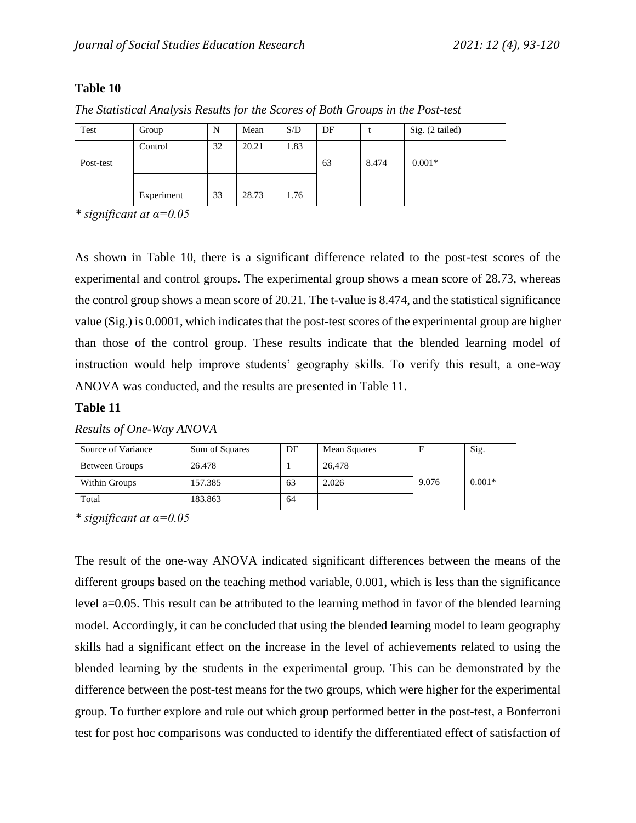| Test      | Group      | N  | Mean  | S/D  | DF |       | Sig. (2 tailed) |
|-----------|------------|----|-------|------|----|-------|-----------------|
| Post-test | Control    | 32 | 20.21 | 1.83 | 63 | 8.474 | $0.001*$        |
|           | Experiment | 33 | 28.73 | 1.76 |    |       |                 |

*The Statistical Analysis Results for the Scores of Both Groups in the Post-test*

*\* significant at α=0.05*

As shown in Table 10, there is a significant difference related to the post-test scores of the experimental and control groups. The experimental group shows a mean score of 28.73, whereas the control group shows a mean score of 20.21. The t-value is 8.474, and the statistical significance value (Sig.) is 0.0001, which indicates that the post-test scores of the experimental group are higher than those of the control group. These results indicate that the blended learning model of instruction would help improve students' geography skills. To verify this result, a one-way ANOVA was conducted, and the results are presented in Table 11.

#### **Table 11**

| Source of Variance | Sum of Squares | DF | Mean Squares |       | Sig.     |
|--------------------|----------------|----|--------------|-------|----------|
| Between Groups     | 26.478         |    | 26,478       |       |          |
| Within Groups      | 157.385        | 63 | 2.026        | 9.076 | $0.001*$ |
| Total              | 183.863        | 64 |              |       |          |

## *Results of One-Way ANOVA*

*\* significant at α=0.05*

The result of the one-way ANOVA indicated significant differences between the means of the different groups based on the teaching method variable, 0.001, which is less than the significance level a=0.05. This result can be attributed to the learning method in favor of the blended learning model. Accordingly, it can be concluded that using the blended learning model to learn geography skills had a significant effect on the increase in the level of achievements related to using the blended learning by the students in the experimental group. This can be demonstrated by the difference between the post-test means for the two groups, which were higher for the experimental group. To further explore and rule out which group performed better in the post-test, a Bonferroni test for post hoc comparisons was conducted to identify the differentiated effect of satisfaction of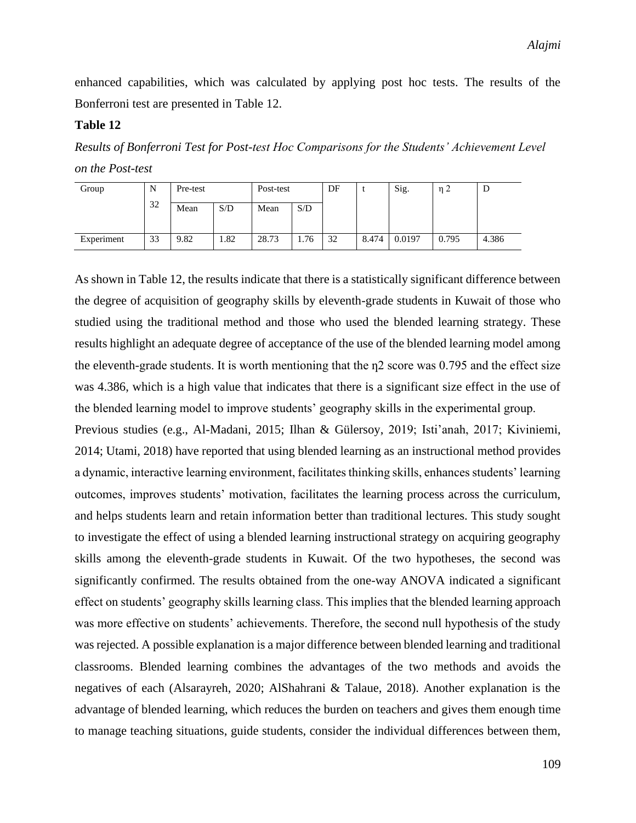enhanced capabilities, which was calculated by applying post hoc tests. The results of the Bonferroni test are presented in Table 12.

### **Table 12**

*Results of Bonferroni Test for Post-test Hoc Comparisons for the Students' Achievement Level on the Post-test*

| Group      | N  | Pre-test |      | Post-test |      | DF |       | Sig.   | n <sub>2</sub> | υ     |
|------------|----|----------|------|-----------|------|----|-------|--------|----------------|-------|
|            | 32 | Mean     | S/D  | Mean      | S/D  |    |       |        |                |       |
| Experiment | 33 | 9.82     | 1.82 | 28.73     | 1.76 | 32 | 8.474 | 0.0197 | 0.795          | 4.386 |

As shown in Table 12, the results indicate that there is a statistically significant difference between the degree of acquisition of geography skills by eleventh-grade students in Kuwait of those who studied using the traditional method and those who used the blended learning strategy. These results highlight an adequate degree of acceptance of the use of the blended learning model among the eleventh-grade students. It is worth mentioning that the  $n^2$  score was 0.795 and the effect size was 4.386, which is a high value that indicates that there is a significant size effect in the use of the blended learning model to improve students' geography skills in the experimental group.

Previous studies (e.g., Al-Madani, 2015; Ilhan & Gülersoy, 2019; Isti'anah, 2017; Kiviniemi, 2014; Utami, 2018) have reported that using blended learning as an instructional method provides a dynamic, interactive learning environment, facilitates thinking skills, enhances students' learning outcomes, improves students' motivation, facilitates the learning process across the curriculum, and helps students learn and retain information better than traditional lectures. This study sought to investigate the effect of using a blended learning instructional strategy on acquiring geography skills among the eleventh-grade students in Kuwait. Of the two hypotheses, the second was significantly confirmed. The results obtained from the one-way ANOVA indicated a significant effect on students' geography skills learning class. This implies that the blended learning approach was more effective on students' achievements. Therefore, the second null hypothesis of the study was rejected. A possible explanation is a major difference between blended learning and traditional classrooms. Blended learning combines the advantages of the two methods and avoids the negatives of each (Alsarayreh, 2020; AlShahrani & Talaue, 2018). Another explanation is the advantage of blended learning, which reduces the burden on teachers and gives them enough time to manage teaching situations, guide students, consider the individual differences between them,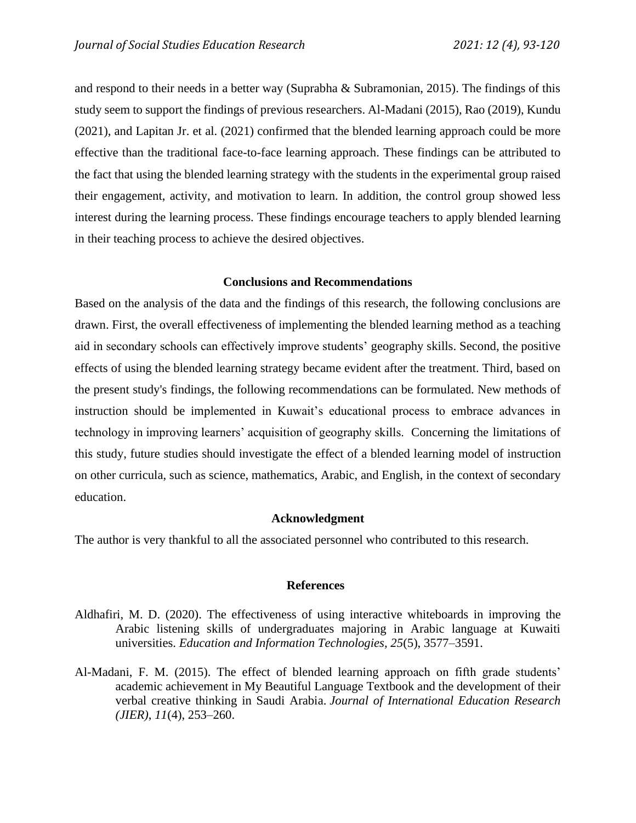and respond to their needs in a better way (Suprabha & Subramonian, 2015). The findings of this study seem to support the findings of previous researchers. Al-Madani (2015), Rao (2019), Kundu (2021), and Lapitan Jr. et al. (2021) confirmed that the blended learning approach could be more effective than the traditional face-to-face learning approach. These findings can be attributed to the fact that using the blended learning strategy with the students in the experimental group raised their engagement, activity, and motivation to learn. In addition, the control group showed less interest during the learning process. These findings encourage teachers to apply blended learning in their teaching process to achieve the desired objectives.

## **Conclusions and Recommendations**

Based on the analysis of the data and the findings of this research, the following conclusions are drawn. First, the overall effectiveness of implementing the blended learning method as a teaching aid in secondary schools can effectively improve students' geography skills. Second, the positive effects of using the blended learning strategy became evident after the treatment. Third, based on the present study's findings, the following recommendations can be formulated. New methods of instruction should be implemented in Kuwait's educational process to embrace advances in technology in improving learners' acquisition of geography skills. Concerning the limitations of this study, future studies should investigate the effect of a blended learning model of instruction on other curricula, such as science, mathematics, Arabic, and English, in the context of secondary education.

#### **Acknowledgment**

The author is very thankful to all the associated personnel who contributed to this research.

#### **References**

- Aldhafiri, M. D. (2020). The effectiveness of using interactive whiteboards in improving the Arabic listening skills of undergraduates majoring in Arabic language at Kuwaiti universities. *Education and Information Technologies, 25*(5), 3577–3591.
- Al-Madani, F. M. (2015). The effect of blended learning approach on fifth grade students' academic achievement in My Beautiful Language Textbook and the development of their verbal creative thinking in Saudi Arabia. *Journal of International Education Research (JIER)*, *11*(4), 253–260.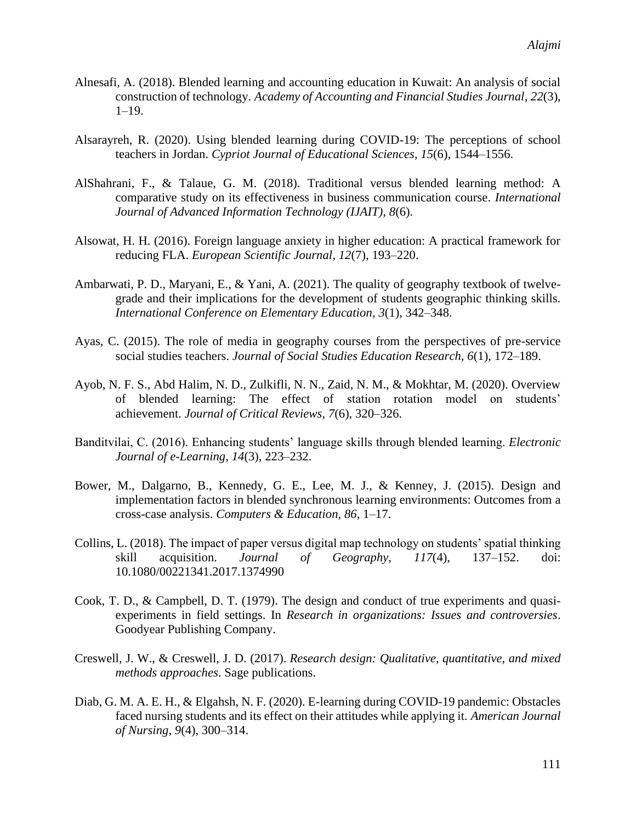- Alnesafi, A. (2018). Blended learning and accounting education in Kuwait: An analysis of social construction of technology. *Academy of Accounting and Financial Studies Journal*, *22*(3), 1–19.
- Alsarayreh, R. (2020). Using blended learning during COVID-19: The perceptions of school teachers in Jordan. *Cypriot Journal of Educational Sciences*, *15*(6), 1544–1556.
- AlShahrani, F., & Talaue, G. M. (2018). Traditional versus blended learning method: A comparative study on its effectiveness in business communication course. *International Journal of Advanced Information Technology (IJAIT), 8*(6).
- Alsowat, H. H. (2016). Foreign language anxiety in higher education: A practical framework for reducing FLA. *European Scientific Journal*, *12*(7), 193–220.
- Ambarwati, P. D., Maryani, E., & Yani, A. (2021). The quality of geography textbook of twelvegrade and their implications for the development of students geographic thinking skills. *International Conference on Elementary Education*, *3*(1), 342–348.
- Ayas, C. (2015). The role of media in geography courses from the perspectives of pre-service social studies teachers. *Journal of Social Studies Education Research, 6*(1), 172–189.
- Ayob, N. F. S., Abd Halim, N. D., Zulkifli, N. N., Zaid, N. M., & Mokhtar, M. (2020). Overview of blended learning: The effect of station rotation model on students' achievement. *Journal of Critical Reviews*, *7*(6), 320–326.
- Banditvilai, C. (2016). Enhancing students' language skills through blended learning. *Electronic Journal of e-Learning*, *14*(3), 223–232.
- Bower, M., Dalgarno, B., Kennedy, G. E., Lee, M. J., & Kenney, J. (2015). Design and implementation factors in blended synchronous learning environments: Outcomes from a cross-case analysis. *Computers & Education*, *86*, 1–17.
- Collins, L. (2018). The impact of paper versus digital map technology on students' spatial thinking skill acquisition. *Journal of Geography, 117*(4), 137–152. doi: 10.1080/00221341.2017.1374990
- Cook, T. D., & Campbell, D. T. (1979). The design and conduct of true experiments and quasiexperiments in field settings. In *Research in organizations: Issues and controversies*. Goodyear Publishing Company.
- Creswell, J. W., & Creswell, J. D. (2017). *Research design: Qualitative, quantitative, and mixed methods approaches*. Sage publications.
- Diab, G. M. A. E. H., & Elgahsh, N. F. (2020). E-learning during COVID-19 pandemic: Obstacles faced nursing students and its effect on their attitudes while applying it. *American Journal of Nursing*, *9*(4), 300–314.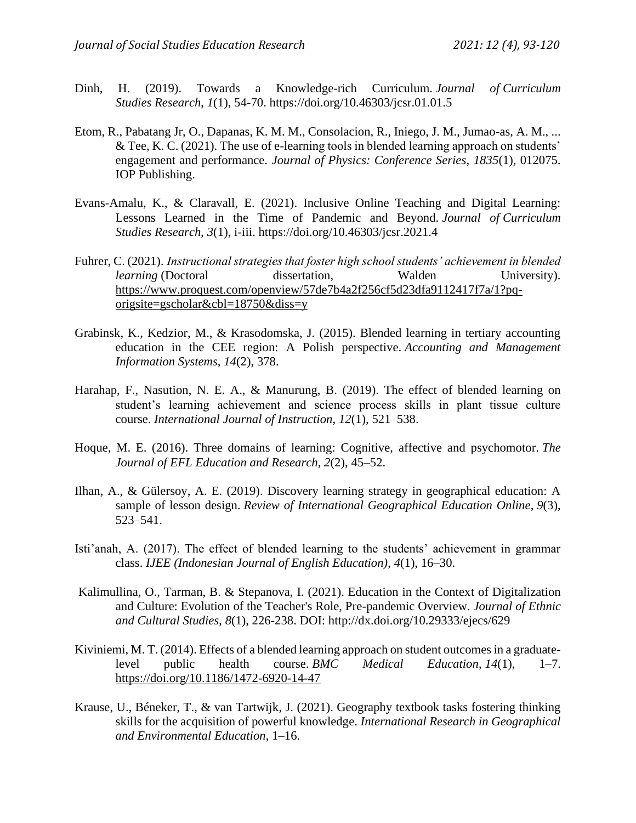- Dinh, H. (2019). Towards a Knowledge-rich Curriculum. *Journal of Curriculum Studies Research*, *1*(1), 54-70. https://doi.org/10.46303/jcsr.01.01.5
- Etom, R., Pabatang Jr, O., Dapanas, K. M. M., Consolacion, R., Iniego, J. M., Jumao-as, A. M., ... & Tee, K. C. (2021). The use of e-learning tools in blended learning approach on students' engagement and performance. *Journal of Physics: Conference Series*, *1835*(1), 012075. IOP Publishing.
- Evans-Amalu, K., & Claravall, E. (2021). Inclusive Online Teaching and Digital Learning: Lessons Learned in the Time of Pandemic and Beyond. *Journal of Curriculum Studies Research*, *3*(1), i-iii. https://doi.org/10.46303/jcsr.2021.4
- Fuhrer, C. (2021). *Instructional strategies that foster high school students' achievement in blended learning* (Doctoral dissertation, Walden University). [https://www.proquest.com/openview/57de7b4a2f256cf5d23dfa9112417f7a/1?pq](https://www.proquest.com/openview/57de7b4a2f256cf5d23dfa9112417f7a/1?pq-origsite=gscholar&cbl=18750&diss=y)[origsite=gscholar&cbl=18750&diss=y](https://www.proquest.com/openview/57de7b4a2f256cf5d23dfa9112417f7a/1?pq-origsite=gscholar&cbl=18750&diss=y)
- Grabinsk, K., Kedzior, M., & Krasodomska, J. (2015). Blended learning in tertiary accounting education in the CEE region: A Polish perspective. *Accounting and Management Information Systems*, *14*(2), 378.
- Harahap, F., Nasution, N. E. A., & Manurung, B. (2019). The effect of blended learning on student's learning achievement and science process skills in plant tissue culture course. *International Journal of Instruction*, *12*(1), 521–538.
- Hoque, M. E. (2016). Three domains of learning: Cognitive, affective and psychomotor. *The Journal of EFL Education and Research*, *2*(2), 45–52.
- Ilhan, A., & Gülersoy, A. E. (2019). Discovery learning strategy in geographical education: A sample of lesson design. *Review of International Geographical Education Online*, *9*(3), 523–541.
- Isti'anah, A. (2017). The effect of blended learning to the students' achievement in grammar class. *IJEE (Indonesian Journal of English Education)*, *4*(1), 16–30.
- Kalimullina, O., Tarman, B. & Stepanova, I. (2021). Education in the Context of Digitalization and Culture: Evolution of the Teacher's Role, Pre-pandemic Overview. *Journal of Ethnic and Cultural Studies*, *8*(1), 226-238. DOI: http://dx.doi.org/10.29333/ejecs/629
- Kiviniemi, M. T. (2014). Effects of a blended learning approach on student outcomes in a graduatelevel public health course. *BMC Medical Education*, *14*(1), 1–7. <https://doi.org/10.1186/1472-6920-14-47>
- Krause, U., Béneker, T., & van Tartwijk, J. (2021). Geography textbook tasks fostering thinking skills for the acquisition of powerful knowledge. *International Research in Geographical and Environmental Education*, 1–16.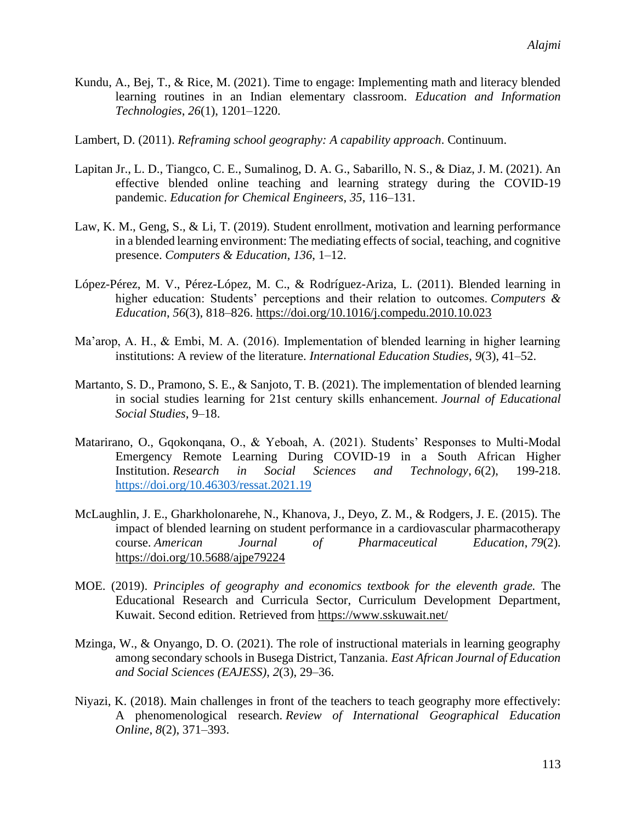- Kundu, A., Bej, T., & Rice, M. (2021). Time to engage: Implementing math and literacy blended learning routines in an Indian elementary classroom. *Education and Information Technologies*, *26*(1), 1201–1220.
- Lambert, D. (2011). *Reframing school geography: A capability approach*. Continuum.
- Lapitan Jr., L. D., Tiangco, C. E., Sumalinog, D. A. G., Sabarillo, N. S., & Diaz, J. M. (2021). An effective blended online teaching and learning strategy during the COVID-19 pandemic. *Education for Chemical Engineers*, *35*, 116–131.
- Law, K. M., Geng, S., & Li, T. (2019). Student enrollment, motivation and learning performance in a blended learning environment: The mediating effects of social, teaching, and cognitive presence. *Computers & Education*, *136*, 1–12.
- López-Pérez, M. V., Pérez-López, M. C., & Rodríguez-Ariza, L. (2011). Blended learning in higher education: Students' perceptions and their relation to outcomes. *Computers & Education*, *56*(3), 818–826. <https://doi.org/10.1016/j.compedu.2010.10.023>
- Ma'arop, A. H., & Embi, M. A. (2016). Implementation of blended learning in higher learning institutions: A review of the literature. *International Education Studies*, *9*(3), 41–52.
- Martanto, S. D., Pramono, S. E., & Sanjoto, T. B. (2021). The implementation of blended learning in social studies learning for 21st century skills enhancement. *Journal of Educational Social Studies*, 9–18.
- Matarirano, O., Gqokonqana, O., & Yeboah, A. (2021). Students' Responses to Multi-Modal Emergency Remote Learning During COVID-19 in a South African Higher Institution. *Research in Social Sciences and Technology*, *6*(2), 199-218. <https://doi.org/10.46303/ressat.2021.19>
- McLaughlin, J. E., Gharkholonarehe, N., Khanova, J., Deyo, Z. M., & Rodgers, J. E. (2015). The impact of blended learning on student performance in a cardiovascular pharmacotherapy course. *American Journal of Pharmaceutical Education*, *79*(2). <https://doi.org/10.5688/ajpe79224>
- MOE. (2019). *Principles of geography and economics textbook for the eleventh grade.* The Educational Research and Curricula Sector, Curriculum Development Department, Kuwait. Second edition. Retrieved from<https://www.sskuwait.net/>
- Mzinga, W., & Onyango, D. O. (2021). The role of instructional materials in learning geography among secondary schools in Busega District, Tanzania. *East African Journal of Education and Social Sciences (EAJESS)*, *2*(3), 29–36.
- Niyazi, K. (2018). Main challenges in front of the teachers to teach geography more effectively: A phenomenological research. *Review of International Geographical Education Online*, *8*(2), 371–393.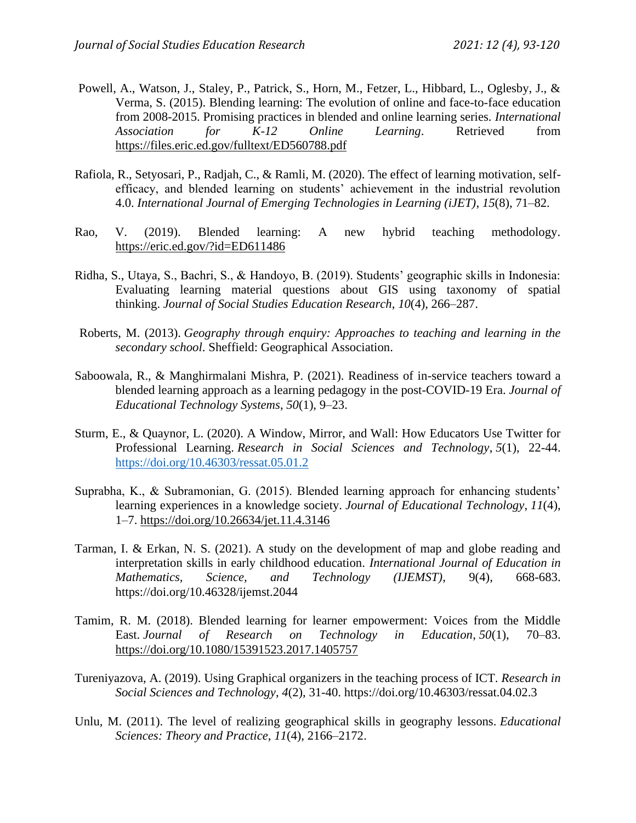- Powell, A., Watson, J., Staley, P., Patrick, S., Horn, M., Fetzer, L., Hibbard, L., Oglesby, J., & Verma, S. (2015). Blending learning: The evolution of online and face-to-face education from 2008-2015. Promising practices in blended and online learning series. *International Association for K-12 Online Learning*. Retrieved from <https://files.eric.ed.gov/fulltext/ED560788.pdf>
- Rafiola, R., Setyosari, P., Radjah, C., & Ramli, M. (2020). The effect of learning motivation, selfefficacy, and blended learning on students' achievement in the industrial revolution 4.0. *International Journal of Emerging Technologies in Learning (iJET)*, *15*(8), 71–82.
- Rao, V. (2019). Blended learning: A new hybrid teaching methodology. <https://eric.ed.gov/?id=ED611486>
- Ridha, S., Utaya, S., Bachri, S., & Handoyo, B. (2019). Students' geographic skills in Indonesia: Evaluating learning material questions about GIS using taxonomy of spatial thinking. *Journal of Social Studies Education Research*, *10*(4), 266–287.
- Roberts, M. (2013). *Geography through enquiry: Approaches to teaching and learning in the secondary school*. Sheffield: Geographical Association.
- Saboowala, R., & Manghirmalani Mishra, P. (2021). Readiness of in-service teachers toward a blended learning approach as a learning pedagogy in the post-COVID-19 Era. *Journal of Educational Technology Systems*, *50*(1), 9–23.
- Sturm, E., & Quaynor, L. (2020). A Window, Mirror, and Wall: How Educators Use Twitter for Professional Learning. *Research in Social Sciences and Technology*, *5*(1), 22-44. <https://doi.org/10.46303/ressat.05.01.2>
- Suprabha, K., & Subramonian, G. (2015). Blended learning approach for enhancing students' learning experiences in a knowledge society. *Journal of Educational Technology*, *11*(4), 1–7.<https://doi.org/10.26634/jet.11.4.3146>
- Tarman, I. & Erkan, N. S. (2021). A study on the development of map and globe reading and interpretation skills in early childhood education. *International Journal of Education in Mathematics, Science, and Technology (IJEMST)*, 9(4), 668-683. https://doi.org/10.46328/ijemst.2044
- Tamim, R. M. (2018). Blended learning for learner empowerment: Voices from the Middle East. *Journal of Research on Technology in Education*, *50*(1), 70–83. <https://doi.org/10.1080/15391523.2017.1405757>
- Tureniyazova, A. (2019). Using Graphical organizers in the teaching process of ICT. *Research in Social Sciences and Technology*, *4*(2), 31-40. https://doi.org/10.46303/ressat.04.02.3
- Unlu, M. (2011). The level of realizing geographical skills in geography lessons. *Educational Sciences: Theory and Practice*, *11*(4), 2166–2172.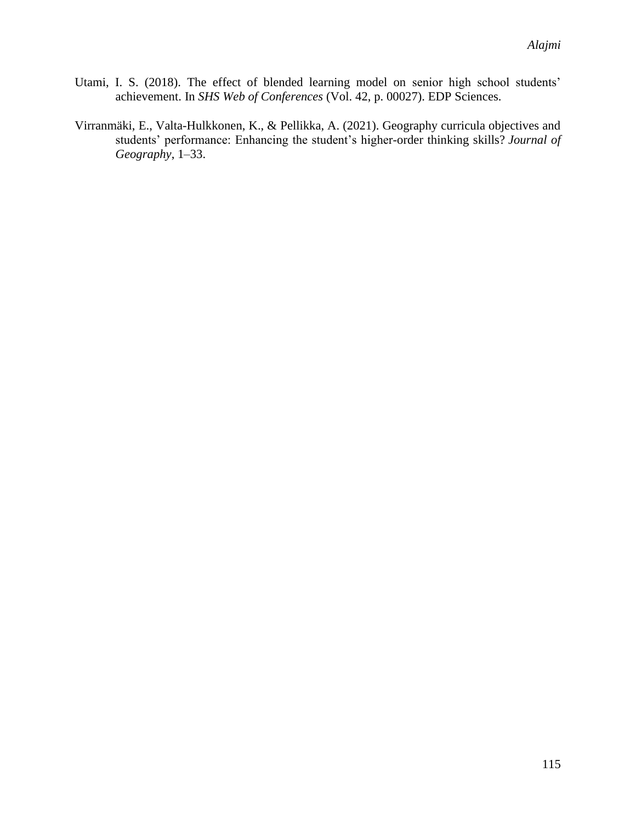- Utami, I. S. (2018). The effect of blended learning model on senior high school students' achievement. In *SHS Web of Conferences* (Vol. 42, p. 00027). EDP Sciences.
- Virranmäki, E., Valta-Hulkkonen, K., & Pellikka, A. (2021). Geography curricula objectives and students' performance: Enhancing the student's higher-order thinking skills? *Journal of Geography*, 1–33.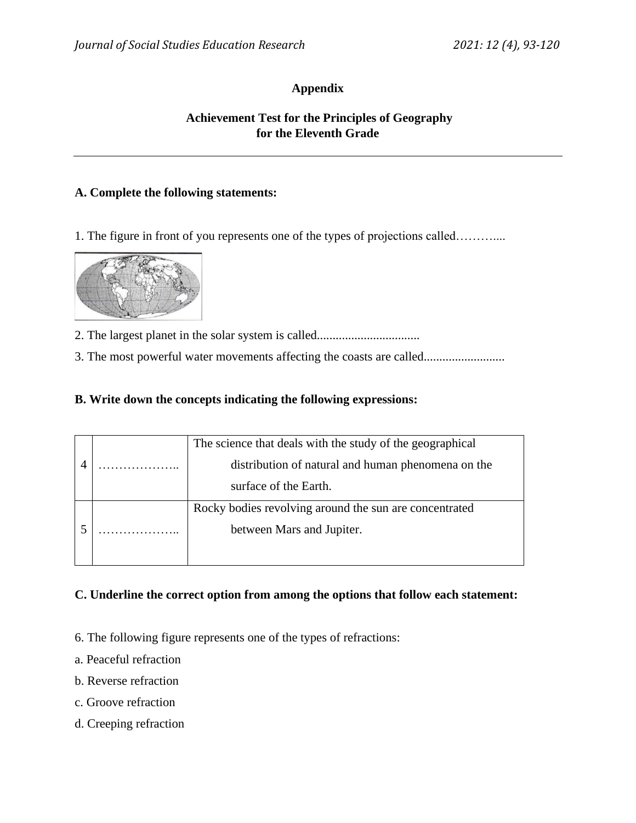## **Appendix**

## **Achievement Test for the Principles of Geography for the Eleventh Grade**

### **A. Complete the following statements:**

1. The figure in front of you represents one of the types of projections called………....



2. The largest planet in the solar system is called.................................

3. The most powerful water movements affecting the coasts are called................................

### **B. Write down the concepts indicating the following expressions:**

|  |  | The science that deals with the study of the geographical |  |
|--|--|-----------------------------------------------------------|--|
|  |  | distribution of natural and human phenomena on the        |  |
|  |  | surface of the Earth.                                     |  |
|  |  | Rocky bodies revolving around the sun are concentrated    |  |
|  |  | between Mars and Jupiter.                                 |  |
|  |  |                                                           |  |

### **C. Underline the correct option from among the options that follow each statement:**

- 6. The following figure represents one of the types of refractions:
- a. Peaceful refraction
- b. Reverse refraction
- c. Groove refraction
- d. Creeping refraction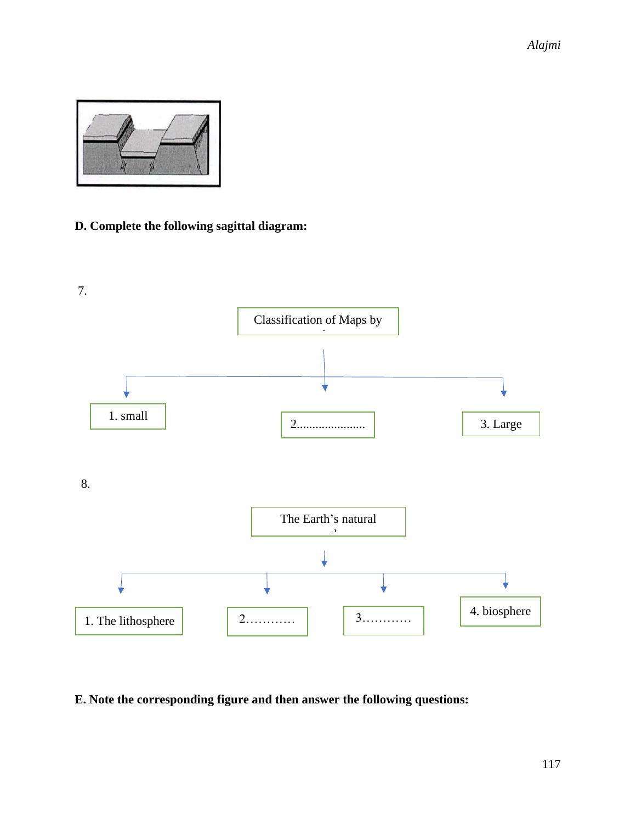*Alajmi*



## **D. Complete the following sagittal diagram:**



## **E. Note the corresponding figure and then answer the following questions:**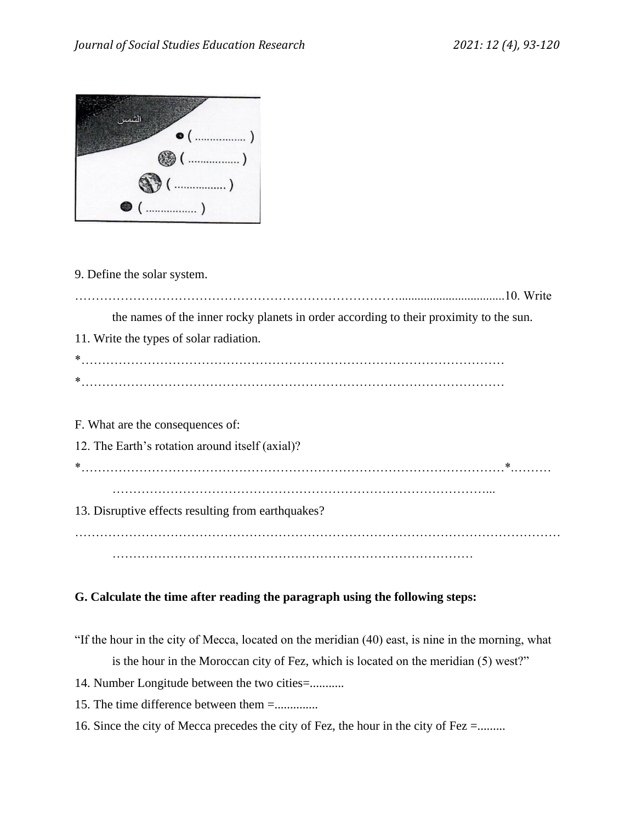

9. Define the solar system.

……………………………………………………………………..................................10. Write the names of the inner rocky planets in order according to their proximity to the sun. 11. Write the types of solar radiation. \*………………………………………………………………………………………… \*………………………………………………………………………………………… F. What are the consequences of: 12. The Earth's rotation around itself (axial)? \*…………………………………………………………………………………………\*.……… ………………………………………………………………………………... 13. Disruptive effects resulting from earthquakes? ………………………………………………………………………………………………………

……………………………………………………………………………

# **G. Calculate the time after reading the paragraph using the following steps:**

"If the hour in the city of Mecca, located on the meridian (40) east, is nine in the morning, what is the hour in the Moroccan city of Fez, which is located on the meridian (5) west?"

- 14. Number Longitude between the two cities=...........
- 15. The time difference between them =..............
- 16. Since the city of Mecca precedes the city of Fez, the hour in the city of Fez =.........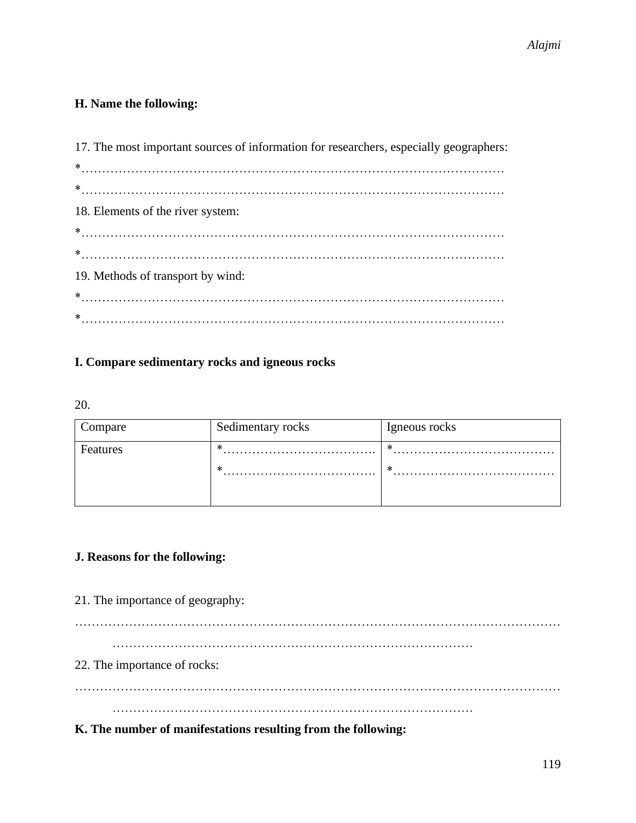## **H. Name the following:**

| 17. The most important sources of information for researchers, especially geographers: |
|----------------------------------------------------------------------------------------|
|                                                                                        |
|                                                                                        |
| 18. Elements of the river system:                                                      |
|                                                                                        |
|                                                                                        |
| 19. Methods of transport by wind:                                                      |
|                                                                                        |
|                                                                                        |

## **I. Compare sedimentary rocks and igneous rocks**

20.

| Compare  | Sedimentary rocks | Igneous rocks |
|----------|-------------------|---------------|
| Features | ∗                 | ∗             |
|          | ∗                 | ∗             |
|          |                   |               |

## **J. Reasons for the following:**

21. The importance of geography:

………………………………………………………………………………………………………

……………………………………………………………………………

22. The importance of rocks:

……………………………………………………………………………………………………… ……………………………………………………………………………

**K. The number of manifestations resulting from the following:**